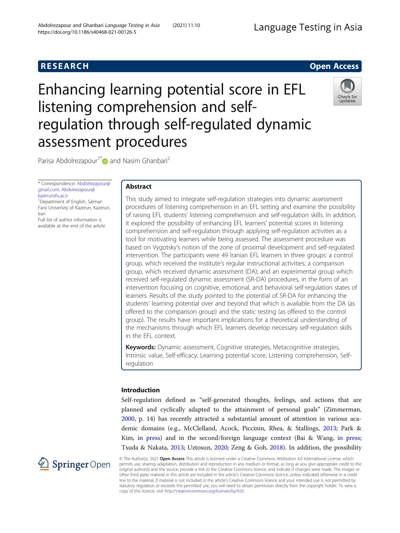# Enhancing learning potential score in EFL listening comprehension and selfregulation through self-regulated dynamic assessment procedures



Parisa Abdolrezapour<sup>1\*</sup> and Nasim Ghanbari<sup>2</sup>

\* Correspondence: [Abdolrezapour@](mailto:Abdolrezapour@gmail.com) [gmail.com;](mailto:Abdolrezapour@gmail.com) [Abdolrezapour@](mailto:Abdolrezapour@kazerunsfu.ac.ir) [kazerunsfu.ac.ir](mailto:Abdolrezapour@kazerunsfu.ac.ir)

<sup>1</sup> Department of English, Salman Farsi University of Kazerun, Kazerun, Iran

Full list of author information is available at the end of the article

# Abstract

This study aimed to integrate self-regulation strategies into dynamic assessment procedures of listening comprehension in an EFL setting and examine the possibility of raising EFL students' listening comprehension and self-regulation skills. In addition, it explored the possibility of enhancing EFL learners' potential scores in listening comprehension and self-regulation through applying self-regulation activities as a tool for motivating learners while being assessed. The assessment procedure was based on Vygotsky's notion of the zone of proximal development and self-regulated intervention. The participants were 49 Iranian EFL learners in three groups: a control group, which received the institute's regular instructional activities; a comparison group, which received dynamic assessment (DA); and an experimental group which received self-regulated dynamic assessment (SR-DA) procedures, in the form of an intervention focusing on cognitive, emotional, and behavioral self-regulation states of learners. Results of the study pointed to the potential of SR-DA for enhancing the students' learning potential over and beyond that which is available from the DA (as offered to the comparison group) and the static testing (as offered to the control group). The results have important implications for a theoretical understanding of the mechanisms through which EFL learners develop necessary self-regulation skills in the EFL context.

Keywords: Dynamic assessment, Cognitive strategies, Metacognitive strategies, Intrinsic value, Self-efficacy, Learning potential score, Listening comprehension, Selfregulation

# Introduction

Self-regulation defined as "self-generated thoughts, feelings, and actions that are planned and cyclically adapted to the attainment of personal goals" (Zimmerman, [2000](#page-18-0), p. 14) has recently attracted a substantial amount of attention in various academic domains (e.g., McClelland, Acock, Piccinin, Rhea, & Stallings, [2013;](#page-17-0) Park & Kim, [in press\)](#page-17-0) and in the second/foreign language context (Bai & Wang, [in press](#page-17-0); Tsuda & Nakata, [2013;](#page-18-0) Uztosun, [2020;](#page-18-0) Zeng & Goh, [2018\)](#page-18-0). In addition, the possibility



© The Author(s). 2021 Open Access This article is licensed under a Creative Commons Attribution 4.0 International License, which permits use, sharing, adaptation, distribution and reproduction in any medium or format, as long as you give appropriate credit to the original author(s) and the source, provide a link to the Creative Commons licence, and indicate if changes were made. The images or other third party material in this article are included in the article's Creative Commons licence, unless indicated otherwise in a credit line to the material. If material is not included in the article's Creative Commons licence and your intended use is not permitted by statutory regulation or exceeds the permitted use, you will need to obtain permission directly from the copyright holder. To view a copy of this licence, visit <http://creativecommons.org/licenses/by/4.0/>.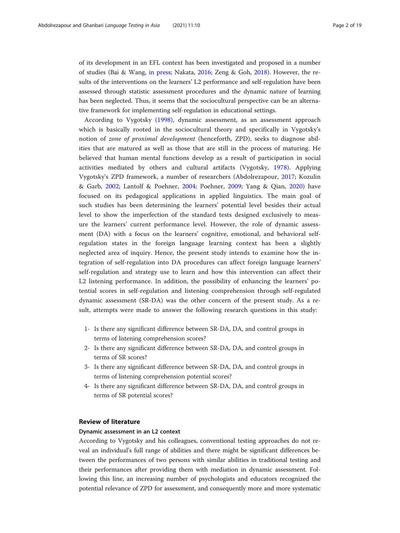of its development in an EFL context has been investigated and proposed in a number of studies (Bai & Wang, [in press](#page-17-0); Nakata, [2016](#page-17-0); Zeng & Goh, [2018](#page-18-0)). However, the results of the interventions on the learners' L2 performance and self-regulation have been assessed through statistic assessment procedures and the dynamic nature of learning has been neglected. Thus, it seems that the sociocultural perspective can be an alternative framework for implementing self-regulation in educational settings.

According to Vygotsky [\(1998](#page-18-0)), dynamic assessment, as an assessment approach which is basically rooted in the sociocultural theory and specifically in Vygotsky's notion of zone of proximal development (henceforth, ZPD), seeks to diagnose abilities that are matured as well as those that are still in the process of maturing. He believed that human mental functions develop as a result of participation in social activities mediated by others and cultural artifacts (Vygotsky, [1978\)](#page-18-0). Applying Vygotsky's ZPD framework, a number of researchers (Abdolrezapour, [2017](#page-16-0); Kozulin & Garb, [2002](#page-17-0); Lantolf & Poehner, [2004](#page-17-0); Poehner, [2009](#page-18-0); Yang & Qian, [2020\)](#page-18-0) have focused on its pedagogical applications in applied linguistics. The main goal of such studies has been determining the learners' potential level besides their actual level to show the imperfection of the standard tests designed exclusively to measure the learners' current performance level. However, the role of dynamic assessment (DA) with a focus on the learners' cognitive, emotional, and behavioral selfregulation states in the foreign language learning context has been a slightly neglected area of inquiry. Hence, the present study intends to examine how the integration of self-regulation into DA procedures can affect foreign language learners' self-regulation and strategy use to learn and how this intervention can affect their L2 listening performance. In addition, the possibility of enhancing the learners' potential scores in self-regulation and listening comprehension through self-regulated dynamic assessment (SR-DA) was the other concern of the present study. As a result, attempts were made to answer the following research questions in this study:

- 1- Is there any significant difference between SR-DA, DA, and control groups in terms of listening comprehension scores?
- 2- Is there any significant difference between SR-DA, DA, and control groups in terms of SR scores?
- 3- Is there any significant difference between SR-DA, DA, and control groups in terms of listening comprehension potential scores?
- 4- Is there any significant difference between SR-DA, DA, and control groups in terms of SR potential scores?

# Review of literature

#### Dynamic assessment in an L2 context

According to Vygotsky and his colleagues, conventional testing approaches do not reveal an individual's full range of abilities and there might be significant differences between the performances of two persons with similar abilities in traditional testing and their performances after providing them with mediation in dynamic assessment. Following this line, an increasing number of psychologists and educators recognized the potential relevance of ZPD for assessment, and consequently more and more systematic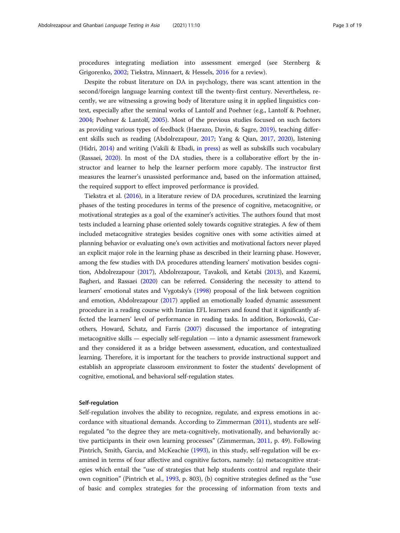procedures integrating mediation into assessment emerged (see Sternberg & Grigorenko, [2002](#page-18-0); Tiekstra, Minnaert, & Hessels, [2016](#page-18-0) for a review).

Despite the robust literature on DA in psychology, there was scant attention in the second/foreign language learning context till the twenty-first century. Nevertheless, recently, we are witnessing a growing body of literature using it in applied linguistics context, especially after the seminal works of Lantolf and Poehner (e.g., Lantolf & Poehner, [2004](#page-17-0); Poehner & Lantolf, [2005](#page-18-0)). Most of the previous studies focused on such factors as providing various types of feedback (Haerazo, Davin, & Sagre, [2019\)](#page-17-0), teaching different skills such as reading (Abdolrezapour, [2017](#page-16-0); Yang & Qian, [2017,](#page-18-0) [2020\)](#page-18-0), listening (Hidri, [2014](#page-17-0)) and writing (Vakili & Ebadi, [in press](#page-18-0)) as well as subskills such vocabulary (Rassaei, [2020](#page-18-0)). In most of the DA studies, there is a collaborative effort by the instructor and learner to help the learner perform more capably. The instructor first measures the learner's unassisted performance and, based on the information attained, the required support to effect improved performance is provided.

Tiekstra et al. ([2016](#page-18-0)), in a literature review of DA procedures, scrutinized the learning phases of the testing procedures in terms of the presence of cognitive, metacognitive, or motivational strategies as a goal of the examiner's activities. The authors found that most tests included a learning phase oriented solely towards cognitive strategies. A few of them included metacognitive strategies besides cognitive ones with some activities aimed at planning behavior or evaluating one's own activities and motivational factors never played an explicit major role in the learning phase as described in their learning phase. However, among the few studies with DA procedures attending learners' motivation besides cognition, Abdolrezapour ([2017](#page-16-0)), Abdolrezapour, Tavakoli, and Ketabi [\(2013](#page-16-0)), and Kazemi, Bagheri, and Rassaei [\(2020\)](#page-17-0) can be referred. Considering the necessity to attend to learners' emotional states and Vygotsky's [\(1998](#page-18-0)) proposal of the link between cognition and emotion, Abdolrezapour [\(2017\)](#page-16-0) applied an emotionally loaded dynamic assessment procedure in a reading course with Iranian EFL learners and found that it significantly affected the learners' level of performance in reading tasks. In addition, Borkowski, Carothers, Howard, Schatz, and Farris ([2007](#page-17-0)) discussed the importance of integrating metacognitive skills — especially self-regulation — into a dynamic assessment framework and they considered it as a bridge between assessment, education, and contextualized learning. Therefore, it is important for the teachers to provide instructional support and establish an appropriate classroom environment to foster the students' development of cognitive, emotional, and behavioral self-regulation states.

#### Self-regulation

Self-regulation involves the ability to recognize, regulate, and express emotions in accordance with situational demands. According to Zimmerman ([2011](#page-18-0)), students are selfregulated "to the degree they are meta-cognitively, motivationally, and behaviorally active participants in their own learning processes" (Zimmerman, [2011,](#page-18-0) p. 49). Following Pintrich, Smith, Garcia, and McKeachie ([1993](#page-17-0)), in this study, self-regulation will be examined in terms of four affective and cognitive factors, namely: (a) metacognitive strategies which entail the "use of strategies that help students control and regulate their own cognition" (Pintrich et al., [1993](#page-17-0), p. 803), (b) cognitive strategies defined as the "use of basic and complex strategies for the processing of information from texts and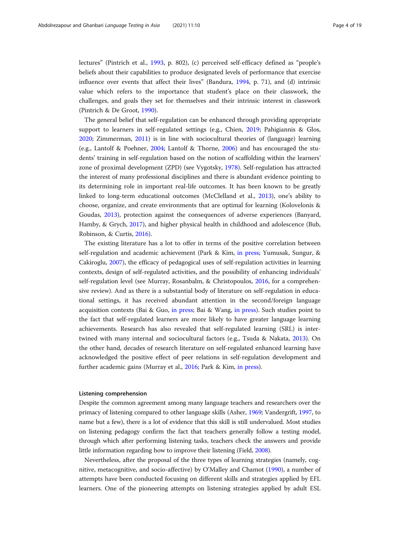lectures" (Pintrich et al., [1993,](#page-17-0) p. 802), (c) perceived self-efficacy defined as "people's beliefs about their capabilities to produce designated levels of performance that exercise influence over events that affect their lives" (Bandura, [1994](#page-17-0), p. 71), and (d) intrinsic value which refers to the importance that student's place on their classwork, the challenges, and goals they set for themselves and their intrinsic interest in classwork (Pintrich & De Groot, [1990](#page-18-0)).

The general belief that self-regulation can be enhanced through providing appropriate support to learners in self-regulated settings (e.g., Chien, [2019;](#page-17-0) Pahigiannis & Glos, [2020](#page-17-0); Zimmerman, [2011\)](#page-18-0) is in line with sociocultural theories of (language) learning (e.g., Lantolf & Poehner, [2004](#page-17-0); Lantolf & Thorne, [2006](#page-17-0)) and has encouraged the students' training in self-regulation based on the notion of scaffolding within the learners' zone of proximal development (ZPD) (see Vygotsky, [1978](#page-18-0)). Self-regulation has attracted the interest of many professional disciplines and there is abundant evidence pointing to its determining role in important real-life outcomes. It has been known to be greatly linked to long-term educational outcomes (McClelland et al., [2013\)](#page-17-0), one's ability to choose, organize, and create environments that are optimal for learning (Kolovelonis & Goudas, [2013\)](#page-17-0), protection against the consequences of adverse experiences (Banyard, Hamby, & Grych, [2017](#page-17-0)), and higher physical health in childhood and adolescence (Bub, Robinson, & Curtis, [2016](#page-17-0)).

The existing literature has a lot to offer in terms of the positive correlation between self-regulation and academic achievement (Park & Kim, [in press;](#page-17-0) Yumusak, Sungur, & Cakiroglu, [2007](#page-18-0)), the efficacy of pedagogical uses of self-regulation activities in learning contexts, design of self-regulated activities, and the possibility of enhancing individuals' self-regulation level (see Murray, Rosanbalm, & Christopoulos, [2016,](#page-17-0) for a comprehensive review). And as there is a substantial body of literature on self-regulation in educational settings, it has received abundant attention in the second/foreign language acquisition contexts (Bai & Guo, [in press;](#page-17-0) Bai & Wang, [in press](#page-17-0)). Such studies point to the fact that self-regulated learners are more likely to have greater language learning achievements. Research has also revealed that self-regulated learning (SRL) is intertwined with many internal and sociocultural factors (e.g., Tsuda & Nakata, [2013](#page-18-0)). On the other hand, decades of research literature on self-regulated enhanced learning have acknowledged the positive effect of peer relations in self-regulation development and further academic gains (Murray et al., [2016;](#page-17-0) Park & Kim, [in press](#page-17-0)).

# Listening comprehension

Despite the common agreement among many language teachers and researchers over the primacy of listening compared to other language skills (Asher, [1969](#page-17-0); Vandergrift, [1997](#page-18-0), to name but a few), there is a lot of evidence that this skill is still undervalued. Most studies on listening pedagogy confirm the fact that teachers generally follow a testing model, through which after performing listening tasks, teachers check the answers and provide little information regarding how to improve their listening (Field, [2008](#page-17-0)).

Nevertheless, after the proposal of the three types of learning strategies (namely, cognitive, metacognitive, and socio-affective) by O'Malley and Chamot [\(1990\)](#page-17-0), a number of attempts have been conducted focusing on different skills and strategies applied by EFL learners. One of the pioneering attempts on listening strategies applied by adult ESL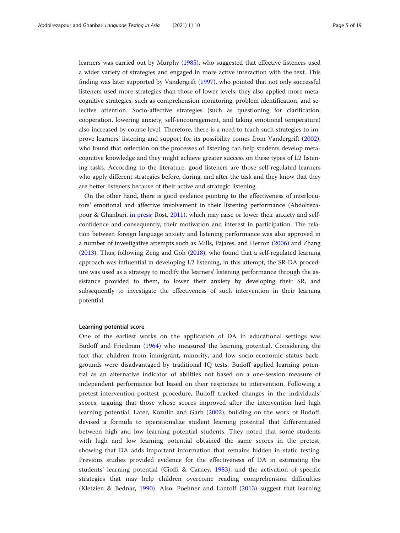learners was carried out by Murphy [\(1985\)](#page-17-0), who suggested that effective listeners used a wider variety of strategies and engaged in more active interaction with the text. This finding was later supported by Vandergrift [\(1997\)](#page-18-0), who pointed that not only successful listeners used more strategies than those of lower levels; they also applied more metacognitive strategies, such as comprehension monitoring, problem identification, and selective attention. Socio-affective strategies (such as questioning for clarification, cooperation, lowering anxiety, self-encouragement, and taking emotional temperature) also increased by course level. Therefore, there is a need to teach such strategies to improve learners' listening and support for its possibility comes from Vandergrift ([2002](#page-18-0)), who found that reflection on the processes of listening can help students develop metacognitive knowledge and they might achieve greater success on these types of L2 listening tasks. According to the literature, good listeners are those self-regulated learners who apply different strategies before, during, and after the task and they know that they are better listeners because of their active and strategic listening.

On the other hand, there is good evidence pointing to the effectiveness of interlocutors' emotional and affective involvement in their listening performance (Abdolrezapour & Ghanbari, [in press](#page-16-0); Rost, [2011](#page-18-0)), which may raise or lower their anxiety and selfconfidence and consequently, their motivation and interest in participation. The relation between foreign language anxiety and listening performance was also approved in a number of investigative attempts such as Mills, Pajares, and Herron [\(2006\)](#page-17-0) and Zhang ([2013](#page-18-0)). Thus, following Zeng and Goh ([2018\)](#page-18-0), who found that a self-regulated learning approach was influential in developing L2 listening, in this attempt, the SR-DA procedure was used as a strategy to modify the learners' listening performance through the assistance provided to them, to lower their anxiety by developing their SR, and subsequently to investigate the effectiveness of such intervention in their learning potential.

#### Learning potential score

One of the earliest works on the application of DA in educational settings was Budoff and Friedman ([1964\)](#page-17-0) who measured the learning potential. Considering the fact that children from immigrant, minority, and low socio-economic status backgrounds were disadvantaged by traditional IQ tests, Budoff applied learning potential as an alternative indicator of abilities not based on a one-session measure of independent performance but based on their responses to intervention. Following a pretest-intervention-posttest procedure, Budoff tracked changes in the individuals' scores, arguing that those whose scores improved after the intervention had high learning potential. Later, Kozulin and Garb ([2002\)](#page-17-0), building on the work of Budoff, devised a formula to operationalize student learning potential that differentiated between high and low learning potential students. They noted that some students with high and low learning potential obtained the same scores in the pretest, showing that DA adds important information that remains hidden in static testing. Previous studies provided evidence for the effectiveness of DA in estimating the students' learning potential (Cioffi & Carney, [1983\)](#page-17-0), and the activation of specific strategies that may help children overcome reading comprehension difficulties (Kletzien & Bednar, [1990\)](#page-17-0). Also, Poehner and Lantolf ([2013\)](#page-18-0) suggest that learning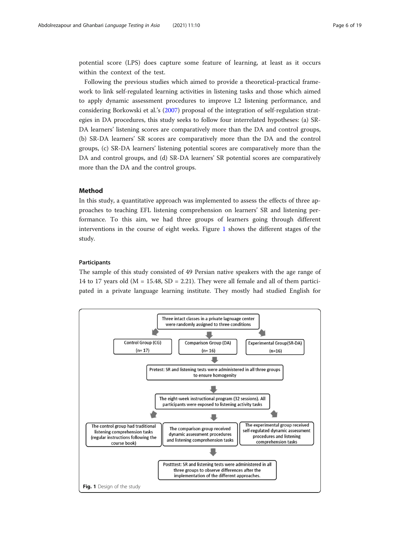potential score (LPS) does capture some feature of learning, at least as it occurs within the context of the test.

Following the previous studies which aimed to provide a theoretical-practical framework to link self-regulated learning activities in listening tasks and those which aimed to apply dynamic assessment procedures to improve L2 listening performance, and considering Borkowski et al.'s [\(2007\)](#page-17-0) proposal of the integration of self-regulation strategies in DA procedures, this study seeks to follow four interrelated hypotheses: (a) SR-DA learners' listening scores are comparatively more than the DA and control groups, (b) SR-DA learners' SR scores are comparatively more than the DA and the control groups, (c) SR-DA learners' listening potential scores are comparatively more than the DA and control groups, and (d) SR-DA learners' SR potential scores are comparatively more than the DA and the control groups.

# Method

In this study, a quantitative approach was implemented to assess the effects of three approaches to teaching EFL listening comprehension on learners' SR and listening performance. To this aim, we had three groups of learners going through different interventions in the course of eight weeks. Figure 1 shows the different stages of the study.

#### Participants

The sample of this study consisted of 49 Persian native speakers with the age range of 14 to 17 years old ( $M = 15.48$ ,  $SD = 2.21$ ). They were all female and all of them participated in a private language learning institute. They mostly had studied English for

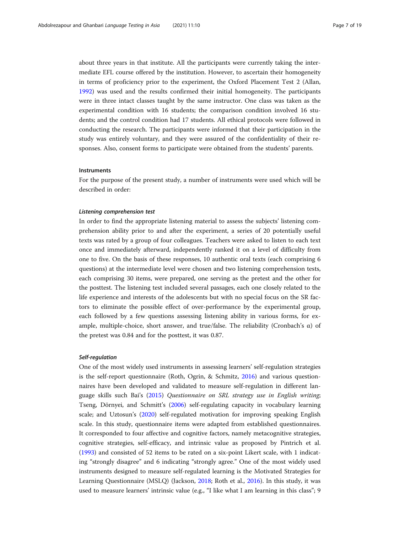about three years in that institute. All the participants were currently taking the intermediate EFL course offered by the institution. However, to ascertain their homogeneity in terms of proficiency prior to the experiment, the Oxford Placement Test 2 (Allan, [1992](#page-16-0)) was used and the results confirmed their initial homogeneity. The participants were in three intact classes taught by the same instructor. One class was taken as the experimental condition with 16 students; the comparison condition involved 16 students; and the control condition had 17 students. All ethical protocols were followed in conducting the research. The participants were informed that their participation in the study was entirely voluntary, and they were assured of the confidentiality of their responses. Also, consent forms to participate were obtained from the students' parents.

#### **Instruments**

For the purpose of the present study, a number of instruments were used which will be described in order:

# Listening comprehension test

In order to find the appropriate listening material to assess the subjects' listening comprehension ability prior to and after the experiment, a series of 20 potentially useful texts was rated by a group of four colleagues. Teachers were asked to listen to each text once and immediately afterward, independently ranked it on a level of difficulty from one to five. On the basis of these responses, 10 authentic oral texts (each comprising 6 questions) at the intermediate level were chosen and two listening comprehension tests, each comprising 30 items, were prepared, one serving as the pretest and the other for the posttest. The listening test included several passages, each one closely related to the life experience and interests of the adolescents but with no special focus on the SR factors to eliminate the possible effect of over-performance by the experimental group, each followed by a few questions assessing listening ability in various forms, for example, multiple-choice, short answer, and true/false. The reliability (Cronbach's  $\alpha$ ) of the pretest was 0.84 and for the posttest, it was 0.87.

#### Self-regulation

One of the most widely used instruments in assessing learners' self-regulation strategies is the self-report questionnaire (Roth, Ogrin, & Schmitz, [2016\)](#page-18-0) and various questionnaires have been developed and validated to measure self-regulation in different language skills such Bai's [\(2015\)](#page-17-0) Questionnaire on SRL strategy use in English writing; Tseng, Dörnyei, and Schmitt's ([2006](#page-18-0)) self-regulating capacity in vocabulary learning scale; and Uztosun's ([2020](#page-18-0)) self-regulated motivation for improving speaking English scale. In this study, questionnaire items were adapted from established questionnaires. It corresponded to four affective and cognitive factors, namely metacognitive strategies, cognitive strategies, self-efficacy, and intrinsic value as proposed by Pintrich et al. ([1993](#page-17-0)) and consisted of 52 items to be rated on a six-point Likert scale, with 1 indicating "strongly disagree" and 6 indicating "strongly agree." One of the most widely used instruments designed to measure self-regulated learning is the Motivated Strategies for Learning Questionnaire (MSLQ) (Jackson, [2018](#page-17-0); Roth et al., [2016\)](#page-18-0). In this study, it was used to measure learners' intrinsic value (e.g., "I like what I am learning in this class"; 9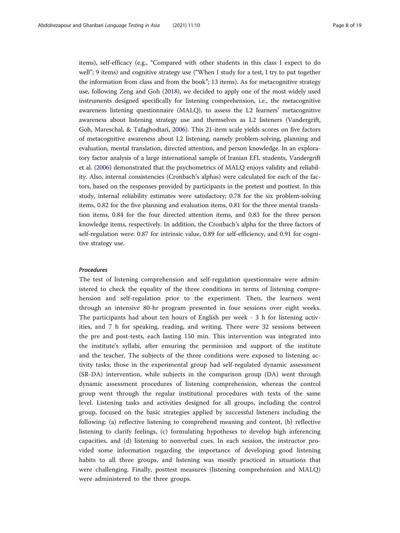items), self-efficacy (e.g., "Compared with other students in this class I expect to do well"; 9 items) and cognitive strategy use ("When I study for a test, I try to put together the information from class and from the book"; 13 items). As for metacognitive strategy use, following Zeng and Goh ([2018](#page-18-0)), we decided to apply one of the most widely used instruments designed specifically for listening comprehension, i.e., the metacognitive awareness listening questionnaire (MALQ), to assess the L2 learners' metacognitive awareness about listening strategy use and themselves as L2 listeners (Vandergrift, Goh, Mareschal, & Tafaghodtari, [2006](#page-18-0)). This 21-item scale yields scores on five factors of metacognitive awareness about L2 listening, namely problem-solving, planning and evaluation, mental translation, directed attention, and person knowledge. In an exploratory factor analysis of a large international sample of Iranian EFL students, Vandergrift et al. [\(2006\)](#page-18-0) demonstrated that the psychometrics of MALQ enjoys validity and reliability. Also, internal consistencies (Cronbach's alphas) were calculated for each of the factors, based on the responses provided by participants in the pretest and posttest. In this study, internal reliability estimates were satisfactory; 0.78 for the six problem-solving items, 0.82 for the five planning and evaluation items, 0.81 for the three mental translation items, 0.84 for the four directed attention items, and 0.83 for the three person knowledge items, respectively. In addition, the Cronbach's alpha for the three factors of self-regulation were: 0.87 for intrinsic value, 0.89 for self-efficiency, and 0.91 for cognitive strategy use.

# Procedures

The test of listening comprehension and self-regulation questionnaire were administered to check the equality of the three conditions in terms of listening comprehension and self-regulation prior to the experiment. Then, the learners went through an intensive 80-hr program presented in four sessions over eight weeks. The participants had about ten hours of English per week - 3 h for listening activities, and 7 h for speaking, reading, and writing. There were 32 sessions between the pre and post-tests, each lasting 150 min. This intervention was integrated into the institute's syllabi, after ensuring the permission and support of the institute and the teacher. The subjects of the three conditions were exposed to listening activity tasks; those in the experimental group had self-regulated dynamic assessment (SR-DA) intervention, while subjects in the comparison group (DA) went through dynamic assessment procedures of listening comprehension, whereas the control group went through the regular institutional procedures with texts of the same level. Listening tasks and activities designed for all groups, including the control group, focused on the basic strategies applied by successful listeners including the following: (a) reflective listening to comprehend meaning and content, (b) reflective listening to clarify feelings, (c) formulating hypotheses to develop high inferencing capacities, and (d) listening to nonverbal cues. In each session, the instructor provided some information regarding the importance of developing good listening habits to all three groups, and listening was mostly practiced in situations that were challenging. Finally, posttest measures (listening comprehension and MALQ) were administered to the three groups.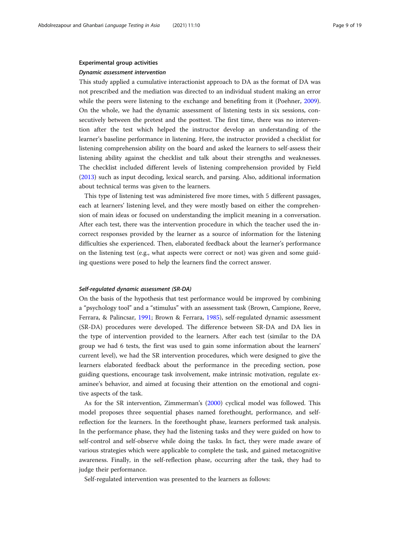#### Experimental group activities

#### Dynamic assessment intervention

This study applied a cumulative interactionist approach to DA as the format of DA was not prescribed and the mediation was directed to an individual student making an error while the peers were listening to the exchange and benefiting from it (Poehner, [2009](#page-18-0)). On the whole, we had the dynamic assessment of listening tests in six sessions, consecutively between the pretest and the posttest. The first time, there was no intervention after the test which helped the instructor develop an understanding of the learner's baseline performance in listening. Here, the instructor provided a checklist for listening comprehension ability on the board and asked the learners to self-assess their listening ability against the checklist and talk about their strengths and weaknesses. The checklist included different levels of listening comprehension provided by Field ([2013](#page-17-0)) such as input decoding, lexical search, and parsing. Also, additional information about technical terms was given to the learners.

This type of listening test was administered five more times, with 5 different passages, each at learners' listening level, and they were mostly based on either the comprehension of main ideas or focused on understanding the implicit meaning in a conversation. After each test, there was the intervention procedure in which the teacher used the incorrect responses provided by the learner as a source of information for the listening difficulties she experienced. Then, elaborated feedback about the learner's performance on the listening test (e.g., what aspects were correct or not) was given and some guiding questions were posed to help the learners find the correct answer.

#### Self-regulated dynamic assessment (SR-DA)

On the basis of the hypothesis that test performance would be improved by combining a "psychology tool" and a "stimulus" with an assessment task (Brown, Campione, Reeve, Ferrara, & Palincsar, [1991](#page-17-0); Brown & Ferrara, [1985\)](#page-17-0), self-regulated dynamic assessment (SR-DA) procedures were developed. The difference between SR-DA and DA lies in the type of intervention provided to the learners. After each test (similar to the DA group we had 6 tests, the first was used to gain some information about the learners' current level), we had the SR intervention procedures, which were designed to give the learners elaborated feedback about the performance in the preceding section, pose guiding questions, encourage task involvement, make intrinsic motivation, regulate examinee's behavior, and aimed at focusing their attention on the emotional and cognitive aspects of the task.

As for the SR intervention, Zimmerman's ([2000\)](#page-18-0) cyclical model was followed. This model proposes three sequential phases named forethought, performance, and selfreflection for the learners. In the forethought phase, learners performed task analysis. In the performance phase, they had the listening tasks and they were guided on how to self-control and self-observe while doing the tasks. In fact, they were made aware of various strategies which were applicable to complete the task, and gained metacognitive awareness. Finally, in the self-reflection phase, occurring after the task, they had to judge their performance.

Self-regulated intervention was presented to the learners as follows: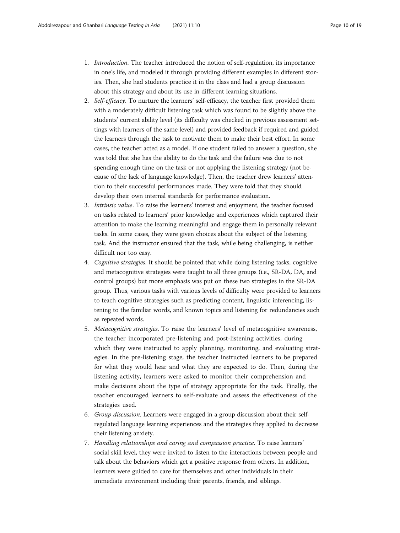- 1. Introduction. The teacher introduced the notion of self-regulation, its importance in one's life, and modeled it through providing different examples in different stories. Then, she had students practice it in the class and had a group discussion about this strategy and about its use in different learning situations.
- 2. Self-efficacy. To nurture the learners' self-efficacy, the teacher first provided them with a moderately difficult listening task which was found to be slightly above the students' current ability level (its difficulty was checked in previous assessment settings with learners of the same level) and provided feedback if required and guided the learners through the task to motivate them to make their best effort. In some cases, the teacher acted as a model. If one student failed to answer a question, she was told that she has the ability to do the task and the failure was due to not spending enough time on the task or not applying the listening strategy (not because of the lack of language knowledge). Then, the teacher drew learners' attention to their successful performances made. They were told that they should develop their own internal standards for performance evaluation.
- 3. Intrinsic value. To raise the learners' interest and enjoyment, the teacher focused on tasks related to learners' prior knowledge and experiences which captured their attention to make the learning meaningful and engage them in personally relevant tasks. In some cases, they were given choices about the subject of the listening task. And the instructor ensured that the task, while being challenging, is neither difficult nor too easy.
- 4. Cognitive strategies. It should be pointed that while doing listening tasks, cognitive and metacognitive strategies were taught to all three groups (i.e., SR-DA, DA, and control groups) but more emphasis was put on these two strategies in the SR-DA group. Thus, various tasks with various levels of difficulty were provided to learners to teach cognitive strategies such as predicting content, linguistic inferencing, listening to the familiar words, and known topics and listening for redundancies such as repeated words.
- 5. Metacognitive strategies. To raise the learners' level of metacognitive awareness, the teacher incorporated pre-listening and post-listening activities, during which they were instructed to apply planning, monitoring, and evaluating strategies. In the pre-listening stage, the teacher instructed learners to be prepared for what they would hear and what they are expected to do. Then, during the listening activity, learners were asked to monitor their comprehension and make decisions about the type of strategy appropriate for the task. Finally, the teacher encouraged learners to self-evaluate and assess the effectiveness of the strategies used.
- 6. Group discussion. Learners were engaged in a group discussion about their selfregulated language learning experiences and the strategies they applied to decrease their listening anxiety.
- 7. Handling relationships and caring and compassion practice. To raise learners' social skill level, they were invited to listen to the interactions between people and talk about the behaviors which get a positive response from others. In addition, learners were guided to care for themselves and other individuals in their immediate environment including their parents, friends, and siblings.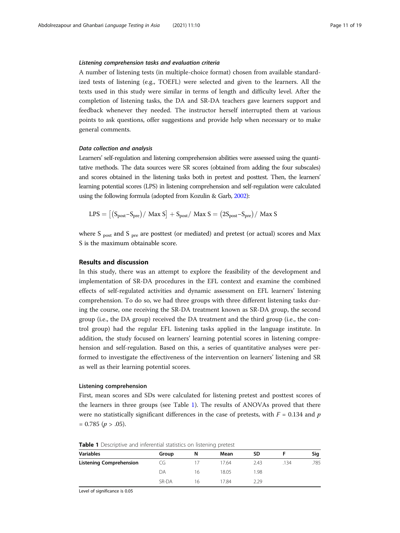#### Listening comprehension tasks and evaluation criteria

A number of listening tests (in multiple-choice format) chosen from available standardized tests of listening (e.g., TOEFL) were selected and given to the learners. All the texts used in this study were similar in terms of length and difficulty level. After the completion of listening tasks, the DA and SR-DA teachers gave learners support and feedback whenever they needed. The instructor herself interrupted them at various points to ask questions, offer suggestions and provide help when necessary or to make general comments.

#### Data collection and analysis

Learners' self-regulation and listening comprehension abilities were assessed using the quantitative methods. The data sources were SR scores (obtained from adding the four subscales) and scores obtained in the listening tasks both in pretest and posttest. Then, the learners' learning potential scores (LPS) in listening comprehension and self-regulation were calculated using the following formula (adopted from Kozulin & Garb, [2002\)](#page-17-0):

$$
LPS = \left[ \left( S_{post} - S_{pre} \right) / \text{ Max } S \right] + S_{post} / \text{ Max } S = \left( 2S_{post} - S_{pre} \right) / \text{ Max } S
$$

where S  $_{\text{post}}$  and S  $_{\text{pre}}$  are posttest (or mediated) and pretest (or actual) scores and Max S is the maximum obtainable score.

# Results and discussion

In this study, there was an attempt to explore the feasibility of the development and implementation of SR-DA procedures in the EFL context and examine the combined effects of self-regulated activities and dynamic assessment on EFL learners' listening comprehension. To do so, we had three groups with three different listening tasks during the course, one receiving the SR-DA treatment known as SR-DA group, the second group (i.e., the DA group) received the DA treatment and the third group (i.e., the control group) had the regular EFL listening tasks applied in the language institute. In addition, the study focused on learners' learning potential scores in listening comprehension and self-regulation. Based on this, a series of quantitative analyses were performed to investigate the effectiveness of the intervention on learners' listening and SR as well as their learning potential scores.

# Listening comprehension

First, mean scores and SDs were calculated for listening pretest and posttest scores of the learners in three groups (see Table 1). The results of ANOVAs proved that there were no statistically significant differences in the case of pretests, with  $F = 0.134$  and p  $= 0.785$  ( $p > .05$ ).

| <b>Variables</b>               | Group | N  | Mean  | <b>SD</b> |      | Sig  |
|--------------------------------|-------|----|-------|-----------|------|------|
| <b>Listening Comprehension</b> | CG    |    | 17.64 | 2.43      | .134 | .785 |
|                                | DΑ    | 16 | 18.05 | 1.98      |      |      |
|                                | SR-DA | 16 | 17.84 | 2.29      |      |      |

**Table 1** Descriptive and inferential statistics on listening pretest

Level of significance is 0.05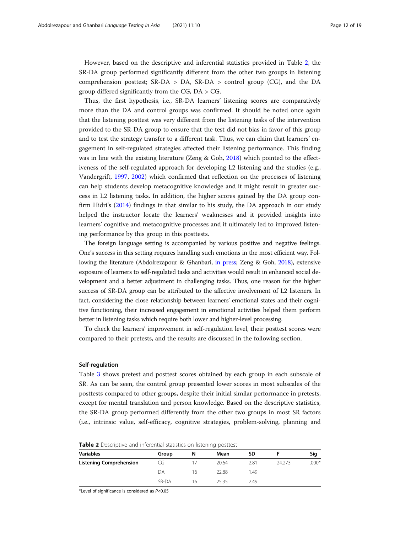However, based on the descriptive and inferential statistics provided in Table 2, the SR-DA group performed significantly different from the other two groups in listening comprehension posttest;  $SR-DA > DA$ ,  $SR-DA > control$  group (CG), and the DA group differed significantly from the CG, DA > CG.

Thus, the first hypothesis, i.e., SR-DA learners' listening scores are comparatively more than the DA and control groups was confirmed. It should be noted once again that the listening posttest was very different from the listening tasks of the intervention provided to the SR-DA group to ensure that the test did not bias in favor of this group and to test the strategy transfer to a different task. Thus, we can claim that learners' engagement in self-regulated strategies affected their listening performance. This finding was in line with the existing literature (Zeng & Goh, [2018\)](#page-18-0) which pointed to the effectiveness of the self-regulated approach for developing L2 listening and the studies (e.g., Vandergrift, [1997,](#page-18-0) [2002](#page-18-0)) which confirmed that reflection on the processes of listening can help students develop metacognitive knowledge and it might result in greater success in L2 listening tasks. In addition, the higher scores gained by the DA group confirm Hidri's [\(2014](#page-17-0)) findings in that similar to his study, the DA approach in our study helped the instructor locate the learners' weaknesses and it provided insights into learners' cognitive and metacognitive processes and it ultimately led to improved listening performance by this group in this posttests.

The foreign language setting is accompanied by various positive and negative feelings. One's success in this setting requires handling such emotions in the most efficient way. Following the literature (Abdolrezapour & Ghanbari, [in press;](#page-16-0) Zeng & Goh, [2018](#page-18-0)), extensive exposure of learners to self-regulated tasks and activities would result in enhanced social development and a better adjustment in challenging tasks. Thus, one reason for the higher success of SR-DA group can be attributed to the affective involvement of L2 listeners. In fact, considering the close relationship between learners' emotional states and their cognitive functioning, their increased engagement in emotional activities helped them perform better in listening tasks which require both lower and higher-level processing.

To check the learners' improvement in self-regulation level, their posttest scores were compared to their pretests, and the results are discussed in the following section.

#### Self-regulation

Table [3](#page-12-0) shows pretest and posttest scores obtained by each group in each subscale of SR. As can be seen, the control group presented lower scores in most subscales of the posttests compared to other groups, despite their initial similar performance in pretests, except for mental translation and person knowledge. Based on the descriptive statistics, the SR-DA group performed differently from the other two groups in most SR factors (i.e., intrinsic value, self-efficacy, cognitive strategies, problem-solving, planning and

| <b>Variables</b>               | Group | N  | Mean  | SD   |        | Sig     |
|--------------------------------|-------|----|-------|------|--------|---------|
| <b>Listening Comprehension</b> | CG    |    | 20.64 | 2.81 | 24.273 | $.000*$ |
|                                | DA    | 16 | 22.88 | 1.49 |        |         |
|                                | SR-DA | 16 | 25.35 | 2.49 |        |         |

**Table 2** Descriptive and inferential statistics on listening posttest

\*Level of significance is considered as P<0.05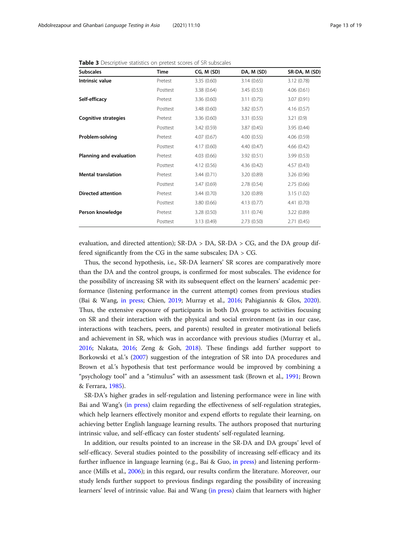| <b>Subscales</b>            | Time     | CG, M (SD)  | DA, M (SD) | SR-DA, M (SD) |
|-----------------------------|----------|-------------|------------|---------------|
| Intrinsic value             | Pretest  | 3.35(0.60)  | 3.14(0.65) | 3.12(0.78)    |
|                             | Posttest | 3.38 (0.64) | 3.45(0.53) | 4.06(0.61)    |
| Self-efficacy               | Pretest  | 3.36(0.60)  | 3.11(0.75) | 3.07(0.91)    |
|                             | Posttest | 3.48(0.60)  | 3.82(0.57) | 4.16(0.57)    |
| <b>Cognitive strategies</b> | Pretest  | 3.36(0.60)  | 3.31(0.55) | 3.21(0.9)     |
|                             | Posttest | 3.42 (0.59) | 3.87(0.45) | 3.95 (0.44)   |
| Problem-solving             | Pretest  | 4.07 (0.67) | 4.00(0.55) | 4.06(0.59)    |
|                             | Posttest | 4.17(0.60)  | 4.40(0.47) | 4.66(0.42)    |
| Planning and evaluation     | Pretest  | 4.03(0.66)  | 3.92(0.51) | 3.99(0.53)    |
|                             | Posttest | 4.12(0.56)  | 4.36(0.42) | 4.57(0.43)    |
| <b>Mental translation</b>   | Pretest  | 3.44(0.71)  | 3.20(0.89) | 3.26(0.96)    |
|                             | Posttest | 3.47(0.69)  | 2.78(0.54) | 2.75(0.66)    |
| <b>Directed attention</b>   | Pretest  | 3.44(0.70)  | 3.20(0.89) | 3.15(1.02)    |
|                             | Posttest | 3.80(0.66)  | 4.13(0.77) | 4.41(0.70)    |
| Person knowledge            | Pretest  | 3.28(0.50)  | 3.11(0.74) | 3.22 (0.89)   |
|                             | Posttest | 3.13(0.49)  | 2.73(0.50) | 2.71(0.45)    |

<span id="page-12-0"></span>Table 3 Descriptive statistics on pretest scores of SR subscales

evaluation, and directed attention);  $SR-DA > DA$ ,  $SR-DA > CG$ , and the DA group differed significantly from the CG in the same subscales; DA > CG.

Thus, the second hypothesis, i.e., SR-DA learners' SR scores are comparatively more than the DA and the control groups, is confirmed for most subscales. The evidence for the possibility of increasing SR with its subsequent effect on the learners' academic performance (listening performance in the current attempt) comes from previous studies (Bai & Wang, [in press](#page-17-0); Chien, [2019](#page-17-0); Murray et al., [2016;](#page-17-0) Pahigiannis & Glos, [2020](#page-17-0)). Thus, the extensive exposure of participants in both DA groups to activities focusing on SR and their interaction with the physical and social environment (as in our case, interactions with teachers, peers, and parents) resulted in greater motivational beliefs and achievement in SR, which was in accordance with previous studies (Murray et al., [2016](#page-17-0); Nakata, [2016](#page-17-0); Zeng & Goh, [2018\)](#page-18-0). These findings add further support to Borkowski et al.'s ([2007](#page-17-0)) suggestion of the integration of SR into DA procedures and Brown et al.'s hypothesis that test performance would be improved by combining a "psychology tool" and a "stimulus" with an assessment task (Brown et al., [1991](#page-17-0); Brown & Ferrara, [1985\)](#page-17-0).

SR-DA's higher grades in self-regulation and listening performance were in line with Bai and Wang's [\(in press\)](#page-17-0) claim regarding the effectiveness of self-regulation strategies, which help learners effectively monitor and expend efforts to regulate their learning, on achieving better English language learning results. The authors proposed that nurturing intrinsic value, and self-efficacy can foster students' self-regulated learning.

In addition, our results pointed to an increase in the SR-DA and DA groups' level of self-efficacy. Several studies pointed to the possibility of increasing self-efficacy and its further influence in language learning (e.g., Bai & Guo, [in press\)](#page-17-0) and listening performance (Mills et al., [2006](#page-17-0)); in this regard, our results confirm the literature. Moreover, our study lends further support to previous findings regarding the possibility of increasing learners' level of intrinsic value. Bai and Wang ([in press\)](#page-17-0) claim that learners with higher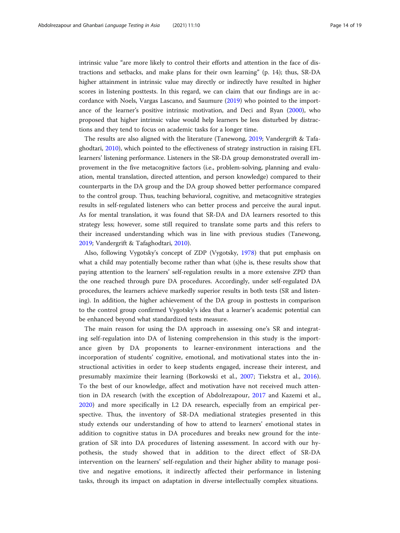intrinsic value "are more likely to control their efforts and attention in the face of distractions and setbacks, and make plans for their own learning" (p. 14); thus, SR-DA higher attainment in intrinsic value may directly or indirectly have resulted in higher scores in listening posttests. In this regard, we can claim that our findings are in accordance with Noels, Vargas Lascano, and Saumure ([2019](#page-17-0)) who pointed to the importance of the learner's positive intrinsic motivation, and Deci and Ryan [\(2000\)](#page-17-0), who proposed that higher intrinsic value would help learners be less disturbed by distractions and they tend to focus on academic tasks for a longer time.

The results are also aligned with the literature (Tanewong, [2019](#page-18-0); Vandergrift & Tafaghodtari, [2010\)](#page-18-0), which pointed to the effectiveness of strategy instruction in raising EFL learners' listening performance. Listeners in the SR-DA group demonstrated overall improvement in the five metacognitive factors (i.e., problem-solving, planning and evaluation, mental translation, directed attention, and person knowledge) compared to their counterparts in the DA group and the DA group showed better performance compared to the control group. Thus, teaching behavioral, cognitive, and metacognitive strategies results in self-regulated listeners who can better process and perceive the aural input. As for mental translation, it was found that SR-DA and DA learners resorted to this strategy less; however, some still required to translate some parts and this refers to their increased understanding which was in line with previous studies (Tanewong, [2019](#page-18-0); Vandergrift & Tafaghodtari, [2010](#page-18-0)).

Also, following Vygotsky's concept of ZDP (Vygotsky, [1978\)](#page-18-0) that put emphasis on what a child may potentially become rather than what (s)he is, these results show that paying attention to the learners' self-regulation results in a more extensive ZPD than the one reached through pure DA procedures. Accordingly, under self-regulated DA procedures, the learners achieve markedly superior results in both tests (SR and listening). In addition, the higher achievement of the DA group in posttests in comparison to the control group confirmed Vygotsky's idea that a learner's academic potential can be enhanced beyond what standardized tests measure.

The main reason for using the DA approach in assessing one's SR and integrating self-regulation into DA of listening comprehension in this study is the importance given by DA proponents to learner-environment interactions and the incorporation of students' cognitive, emotional, and motivational states into the instructional activities in order to keep students engaged, increase their interest, and presumably maximize their learning (Borkowski et al., [2007;](#page-17-0) Tiekstra et al., [2016](#page-18-0)). To the best of our knowledge, affect and motivation have not received much attention in DA research (with the exception of Abdolrezapour, [2017](#page-16-0) and Kazemi et al., [2020\)](#page-17-0) and more specifically in L2 DA research, especially from an empirical perspective. Thus, the inventory of SR-DA mediational strategies presented in this study extends our understanding of how to attend to learners' emotional states in addition to cognitive status in DA procedures and breaks new ground for the integration of SR into DA procedures of listening assessment. In accord with our hypothesis, the study showed that in addition to the direct effect of SR-DA intervention on the learners' self-regulation and their higher ability to manage positive and negative emotions, it indirectly affected their performance in listening tasks, through its impact on adaptation in diverse intellectually complex situations.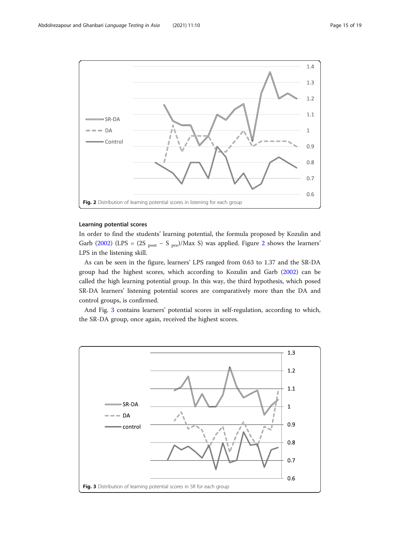

# Learning potential scores

In order to find the students' learning potential, the formula proposed by Kozulin and Garb ([2002\)](#page-17-0) (LPS =  $(2S_{post} - S_{pre})/Max S$ ) was applied. Figure 2 shows the learners' LPS in the listening skill.

As can be seen in the figure, learners' LPS ranged from 0.63 to 1.37 and the SR-DA group had the highest scores, which according to Kozulin and Garb ([2002](#page-17-0)) can be called the high learning potential group. In this way, the third hypothesis, which posed SR-DA learners' listening potential scores are comparatively more than the DA and control groups, is confirmed.

And Fig. 3 contains learners' potential scores in self-regulation, according to which, the SR-DA group, once again, received the highest scores.

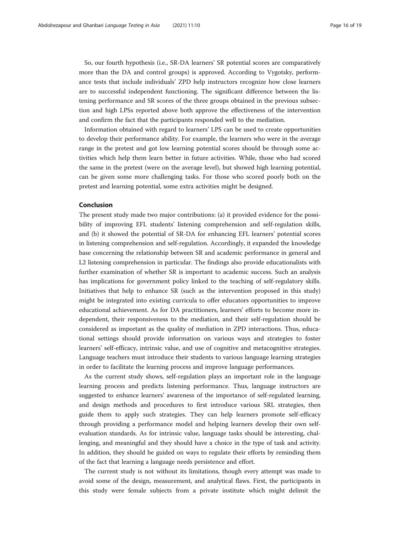So, our fourth hypothesis (i.e., SR-DA learners' SR potential scores are comparatively more than the DA and control groups) is approved. According to Vygotsky, performance tests that include individuals' ZPD help instructors recognize how close learners are to successful independent functioning. The significant difference between the listening performance and SR scores of the three groups obtained in the previous subsection and high LPSs reported above both approve the effectiveness of the intervention and confirm the fact that the participants responded well to the mediation.

Information obtained with regard to learners' LPS can be used to create opportunities to develop their performance ability. For example, the learners who were in the average range in the pretest and got low learning potential scores should be through some activities which help them learn better in future activities. While, those who had scored the same in the pretest (were on the average level), but showed high learning potential, can be given some more challenging tasks. For those who scored poorly both on the pretest and learning potential, some extra activities might be designed.

# Conclusion

The present study made two major contributions: (a) it provided evidence for the possibility of improving EFL students' listening comprehension and self-regulation skills, and (b) it showed the potential of SR-DA for enhancing EFL learners' potential scores in listening comprehension and self-regulation. Accordingly, it expanded the knowledge base concerning the relationship between SR and academic performance in general and L2 listening comprehension in particular. The findings also provide educationalists with further examination of whether SR is important to academic success. Such an analysis has implications for government policy linked to the teaching of self-regulatory skills. Initiatives that help to enhance SR (such as the intervention proposed in this study) might be integrated into existing curricula to offer educators opportunities to improve educational achievement. As for DA practitioners, learners' efforts to become more independent, their responsiveness to the mediation, and their self-regulation should be considered as important as the quality of mediation in ZPD interactions. Thus, educational settings should provide information on various ways and strategies to foster learners' self-efficacy, intrinsic value, and use of cognitive and metacognitive strategies. Language teachers must introduce their students to various language learning strategies in order to facilitate the learning process and improve language performances.

As the current study shows, self-regulation plays an important role in the language learning process and predicts listening performance. Thus, language instructors are suggested to enhance learners' awareness of the importance of self-regulated learning, and design methods and procedures to first introduce various SRL strategies, then guide them to apply such strategies. They can help learners promote self-efficacy through providing a performance model and helping learners develop their own selfevaluation standards. As for intrinsic value, language tasks should be interesting, challenging, and meaningful and they should have a choice in the type of task and activity. In addition, they should be guided on ways to regulate their efforts by reminding them of the fact that learning a language needs persistence and effort.

The current study is not without its limitations, though every attempt was made to avoid some of the design, measurement, and analytical flaws. First, the participants in this study were female subjects from a private institute which might delimit the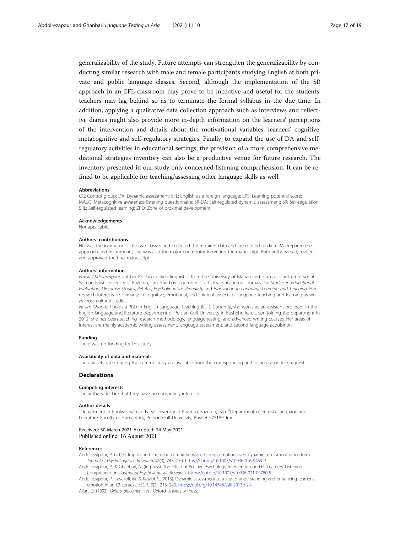<span id="page-16-0"></span>generalizability of the study. Future attempts can strengthen the generalizability by conducting similar research with male and female participants studying English at both private and public language classes. Second, although the implementation of the SR approach in an EFL classroom may prove to be incentive and useful for the students, teachers may lag behind so as to terminate the formal syllabus in the due time. In addition, applying a qualitative data collection approach such as interviews and reflective diaries might also provide more in-depth information on the learners' perceptions of the intervention and details about the motivational variables, learners' cognitive, metacognitive and self-regulatory strategies. Finally, to expand the use of DA and selfregulatory activities in educational settings, the provision of a more comprehensive mediational strategies inventory can also be a productive venue for future research. The inventory presented in our study only concerned listening comprehension. It can be refined to be applicable for teaching/assessing other language skills as well.

#### Abbreviations

CG: Control group; DA: Dynamic assessment; EFL: English as a foreign language; LPS: Learning potential score; MALQ: Metacognitive awareness listening questionnaire; SR-DA: Self-regulated dynamic assessment; SR: Self-regulation; SRL: Self-regulated learning; ZPD: Zone of proximal development

#### Acknowledgements

Not applicable.

#### Authors' contributions

NG was the instructor of the two classes and collected the required data and interpreted all data. PA prepared the approach and instruments; she was also the major contributor in writing the manuscript. Both authors read, revised, and approved the final manuscript.

#### Authors' information

Parisa Abdolrezapour got her PhD in applied linguistics from the University of Isfahan and is an assistant professor at Salman Farsi University of Kazerun, Iran. She has a number of articles in academic journals like Studies in Educational Evaluation, Discourse Studies, ReCALL, Psycholinguistic Research, and Innovation in Language Learning and Teaching. Her research interests lie primarily in cognitive, emotional, and spiritual aspects of language teaching and learning as well as cross-cultural studies.

Nasim Ghanbari holds a PhD in English Language Teaching (ELT). Currently, she works as an assistant professor in the English language and literature department of Persian Gulf University in Bushehr, Iran. Upon joining the department in 2012, she has been teaching research methodology, language testing, and advanced writing courses. Her areas of interest are mainly academic writing assessment, language assessment, and second language acquisition.

#### Funding

There was no funding for this study.

#### Availability of data and materials

The datasets used during the current study are available from the corresponding author on reasonable request.

#### Declarations

#### Competing interests

The authors declare that they have no competing interests.

#### Author details

<sup>1</sup>Department of English, Salman Farsi University of Kazerun, Kazerun, Iran. <sup>2</sup>Department of English Language and Literature, Faculty of Humanities, Persian Gulf University, Bushehr 75169, Iran.

# Received: 30 March 2021 Accepted: 24 May 2021 Published online: 16 August 2021

#### References

Abdolrezapour, P. (2017). Improving L2 reading comprehension through emotionalized dynamic assessment procedures. Journal of Psycholinguistic Research, 46(3), 747–770. [https://doi.org/10.1007/s10936-016-9464-9.](https://doi.org/10.1007/s10936-016-9464-9)

Abdolrezapour, P., & Ghanbari, N. (in press). The Effect of Positive Psychology Intervention on EFL Learners' Listening Comprehension. Journal of Psycholinguistic Research. <https://doi.org/10.1007/s10936-021-09780-5>

Abdolrezapour, P., Tavakoli, M., & Ketabi, S. (2013). Dynamic assessment as a key to understanding and enhancing learner's emotion in an L2 context. SSLLT, 3(2), 213–243. <https://doi.org/10.14746/ssllt.2013.3.2.4>.

Allan, D. (1992). Oxford placement test. Oxford University Press.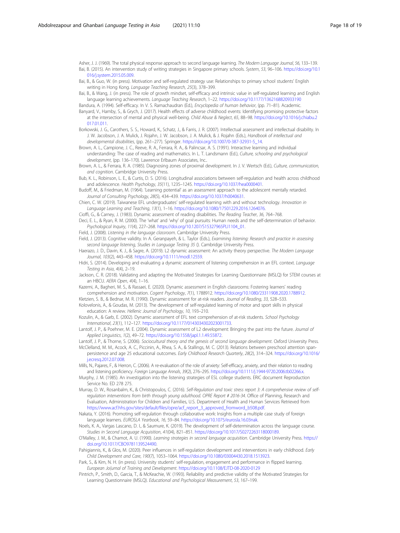<span id="page-17-0"></span>Asher, J. J. (1969). The total physical response approach to second language learning. The Modem Language Journal, 56, 133-139. Bai, B. (2015). An intervention study of writing strategies in Singapore primary schools. System, 53, 96–106. [https://doi.org/10.1](https://doi.org/10.1016/j.system.2015.05.009) [016/j.system.2015.05.009.](https://doi.org/10.1016/j.system.2015.05.009)

- Bai, B., & Guo, W. (in press). Motivation and self-regulated strategy use: Relationships to primary school students' English writing in Hong Kong. Language Teaching Research, 25(3), 378–399.
- Bai, B., & Wang, J. (in press). The role of growth mindset, self-efficacy and intrinsic value in self-regulated learning and English language learning achievements. Language Teaching Research, 1–22. <https://doi.org/10.1177/1362168820933190>
- Bandura, A. (1994). Self-efficacy. In V. S. Ramachaudran (Ed.), Encyclopedia of human behavior, (pp. 71-81). Academic. Banyard, V., Hamby, S., & Grych, J. (2017). Health effects of adverse childhood events: Identifying promising protective factors
- at the intersection of mental and physical well-being. Child Abuse & Neglect, 65, 88–98. [https://doi.org/10.1016/j.chiabu.2](https://doi.org/10.1016/j.chiabu.2017.01.011) [017.01.011](https://doi.org/10.1016/j.chiabu.2017.01.011).
- Borkowski, J. G., Carothers, S. S., Howard, K., Schatz, J., & Farris, J. R. (2007). Intellectual assessment and intellectual disability. In J. W. Jacobson, J. A. Mulick, J. Rojahn, J. W. Jacobson, J. A. Mulick, & J. Rojahn (Eds.), Handbook of intellectual and developmental disabilities, (pp. 261–277). Springer. [https://doi.org/10.1007/0-387-32931-5\\_14](https://doi.org/10.1007/0-387-32931-5_14).
- Brown, A. L., Campione, J. C., Reeve, R. A., Ferrara, R. A., & Palincsar, A. S. (1991). Interactive learning and individual understanding: The case of reading and mathematics. In L. T. Landsmann (Ed.), Culture, schooling and psychological development, (pp. 136–170). Lawrence Erlbaum Associates, Inc..
- Brown, A. L., & Ferrara, R. A. (1985). Diagnosing zones of proximal development. In J. V. Wertsch (Ed.), Culture, communication, and cognition. Cambridge University Press.
- Bub, K. L., Robinson, L. E., & Curtis, D. S. (2016). Longitudinal associations between self-regulation and health across childhood and adolescence. Health Psychology, 35(11), 1235–1245. [https://doi.org/10.1037/hea0000401.](https://doi.org/10.1037/hea0000401)
- Budoff, M., & Friedman, M. (1964). 'Learning potential' as an assessment approach to the adolescent mentally retarded. Journal of Consulting Psychology, 28(5), 434–439. <https://doi.org/10.1037/h0040631>.
- Chien, C. W. (2019). Taiwanese EFL undergraduates' self-regulated learning with and without technology. Innovation in Language Learning and Teaching, 13(1), 1–16. <https://doi.org/10.1080/17501229.2016.1264076>.
- Cioffi, G., & Carney, J. (1983). Dynamic assessment of reading disabilities. The Reading Teacher, 36, 764–768.
- Deci, E. L., & Ryan, R. M. (2000). The 'what' and 'why' of goal pursuits: Human needs and the self-determination of behavior. Psychological Inquiry, 11(4), 227–268. [https://doi.org/10.1207/S15327965PLI1104\\_01](https://doi.org/10.1207/S15327965PLI1104_01).
- Field, J. (2008). Listening in the language classroom. Cambridge University Press.
- Field, J. (2013). Cognitive validity. In A. Geranpayeh, & L. Taylor (Eds.), Examining listening: Research and practice in assessing second language listening, Studies in Language Testing 35 (). Cambridge University Press.
- Haerazo, J. D., Davin, K. J., & Sagre, A. (2019). L2 dynamic assessment: An activity theory perspective. The Modern Language Journal, 103(2), 443–458. <https://doi.org/10.1111/modl.12559>.
- Hidri, S. (2014). Developing and evaluating a dynamic assessment of listening comprehension in an EFL context. Language Testing in Asia, 4(4), 2–19.
- Jackson, C. R. (2018). Validating and adapting the Motivated Strategies for Learning Questionnaire (MSLQ) for STEM courses at an HBCU. AERA Open, 4(4), 1–16.
- Kazemi, A., Bagheri, M. S., & Rassaei, E. (2020). Dynamic assessment in English classrooms: Fostering learners' reading comprehension and motivation. Cogent Psychology, 7(1), 1788912. [https://doi.org/10.1080/23311908.2020.1788912.](https://doi.org/10.1080/23311908.2020.1788912)
- Kletzien, S. B., & Bednar, M. R. (1990). Dynamic assessment for at-risk readers. Journal of Reading, 33, 528–533.
- Kolovelonis, A., & Goudas, M. (2013). The development of self-regulated learning of motor and sport skills in physical education: A review. Hellenic Journal of Psychology, 10, 193–210.
- Kozulin, A., & Garb, E. (2002). Dynamic assessment of EFL text comprehension of at-risk students. School Psychology International, 23(1), 112–127. <https://doi.org/10.1177/0143034302023001733>.
- Lantolf, J. P., & Poehner, M. E. (2004). Dynamic assessment of L2 development: Bringing the past into the future. Journal of Applied Linguistics, 1(2), 49–72. <https://doi.org/10.1558/japl.1.1.49.55872>.
- Lantolf, J. P., & Thorne, S. (2006). Sociocultural theory and the genesis of second language development. Oxford University Press. McClelland, M. M., Acock, A. C., Piccinin, A., Rhea, S. A., & Stallings, M. C. (2013). Relations between preschool attention span-
- persistence and age 25 educational outcomes. Early Childhood Research Quarterly, 28(2), 314–324. [https://doi.org/10.1016/](https://doi.org/10.1016/j.ecresq.2012.07.008) i.ecresa.2012.07.008.
- Mills, N., Pajares, F., & Herron, C. (2006). A re-evaluation of the role of anxiety: Self-efficacy, anxiety, and their relation to reading and listening proficiency. Foreign Language Annals, 39(2), 276-295. <https://doi.org/10.1111/j.1944-9720.2006.tb02266.x>.
- Murphy, J. M. (1985). An investigation into the listening strategies of ESL college students. ERIC document Reproduction Service No. ED 278 275.
- Murray, D. W., Rosanbalm, K., & Christopoulos, C. (2016). Self-Regulation and toxic stress report 3: A comprehensive review of selfregulation interventions from birth through young adulthood. OPRE Report # 2016-34. Office of Planning, Research and Evaluation, Administration for Children and Families, U.S. Department of Health and Human Services Retrieved from [https://www.acf.hhs.gov/sites/default/files/opre/acf\\_report\\_3\\_approved\\_fromword\\_b508.pdf.](https://www.acf.hhs.gov/sites/default/files/opre/acf_report_3_approved_fromword_b508.pdf)
- Nakata, Y. (2016). Promoting self-regulation through collaborative work: Insights from a multiple case study of foreign language learners. EUROSLA Yearbook, 16, 59–84. [https://doi.org/10.1075/eurosla.16.03nak.](https://doi.org/10.1075/eurosla.16.03nak)
- Noels, K. A., Vargas Lascano, D. I., & Saumure, K. (2019). The development of self-determination across the language course. Studies in Second Language Acquisition, 41(04), 821–851. <https://doi.org/10.1017/S0272263118000189>.
- O'Malley, J. M., & Chamot, A. U. (1990). Learning strategies in second language acquisition. Cambridge University Press. [https://](https://doi.org/10.1017/CBO9781139524490) [doi.org/10.1017/CBO9781139524490.](https://doi.org/10.1017/CBO9781139524490)
- Pahigiannis, K., & Glos, M. (2020). Peer influences in self-regulation development and interventions in early childhood. Early Child Development and Care, 190(7), 1053–1064. <https://doi.org/10.1080/03004430.2018.1513923>.
- Park, S., & Kim, N. H. (in press). University students' self-regulation, engagement and performance in flipped learning. European Jo(urnal of Training and Development. <https://doi.org/10.1108/EJTD-08-2020-0129>
- Pintrich, P., Smith, D., Garcia, T., & McKeachie, W. (1993). Reliability and predictive validity of the Motivated Strategies for Learning Questionnaire (MSLQ). Educational and Psychological Measurement, 53, 167–199.